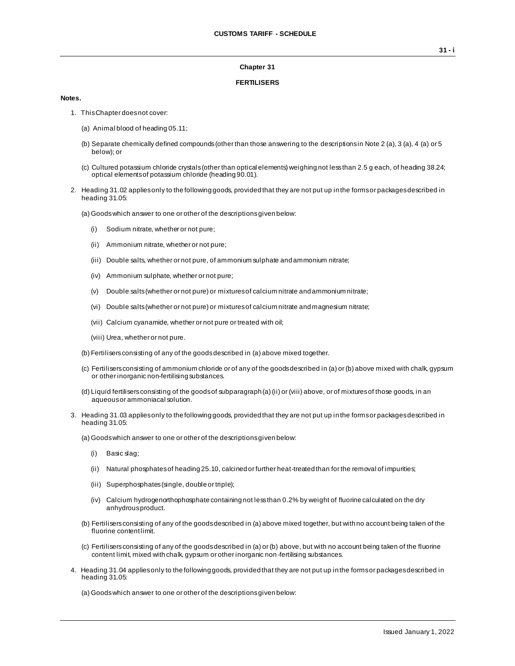## **Chapter 31**

## **FERTILISERS**

## **Notes.**

- 1. This Chapter does not cover:
	- (a) Animal blood of heading 05.11;
	- (b) Separate chemically defined compounds (other than those answering to the descriptions in Note 2 (a), 3 (a), 4 (a) or 5 below); or
	- (c) Cultured potassium chloride crystals (other than optical elements) weighing not less than 2.5 g each, of heading 38.24; optical elements of potassium chloride (heading 90.01).
- 2. Heading 31.02 applies only to the following goods, provided that they are not put up in the forms or packages described in heading 31.05:
	- (a) Goods which answer to one or other of the descriptions given below:
		- (i) Sodium nitrate, whether or not pure;
		- (ii) Ammonium nitrate, whether or not pure;
		- (iii) Double salts, whether or not pure, of ammonium sulphate and ammonium nitrate;
		- (iv) Ammonium sulphate, whether or not pure;
		- (v) Double salts (whether or not pure) or mixtures of calcium nitrate and ammonium nitrate;
		- (vi) Double salts (whether or not pure) or mixtures of calcium nitrate and magnesium nitrate;
		- (vii) Calcium cyanamide, whether or not pure or treated with oil;
		- (viii) Urea, whether or not pure.

(b) Fertilisers consisting of any of the goods described in (a) above mixed together.

- (c) Fertilisers consisting of ammonium chloride or of any of the goods described in (a) or (b) above mixed with chalk, gypsum or other inorganic non-fertilising substances.
- (d) Liquid fertilisers consisting of the goods of subparagraph (a) (ii) or (viii) above, or of mixtures of those goods, in an aqueous or ammoniacal solution.
- 3. Heading 31.03 applies only to the following goods, provided that they are not put up in the forms or packages described in heading 31.05:

(a) Goods which answer to one or other of the descriptions given below:

- (i) Basic slag;
- (ii) Natural phosphates of heading 25.10, calcined or further heat-treated than for the removal of impurities;
- (iii) Superphosphates (single, double or triple);
- (iv) Calcium hydrogenorthophosphate containing not less than 0.2% by weight of fluorine calculated on the dry anhydrous product.
- (b) Fertilisers consisting of any of the goods described in (a) above mixed together, but with no account being taken of the fluorine content limit.
- (c) Fertilisers consisting of any of the goods described in (a) or (b) above, but with no account being taken of the fluorine content limit, mixed with chalk, gypsum or other inorganic non-fertilising substances.
- 4. Heading 31.04 applies only to the following goods, provided that they are not put up in the forms or packages described in heading 31.05:

(a) Goods which answer to one or other of the descriptions given below: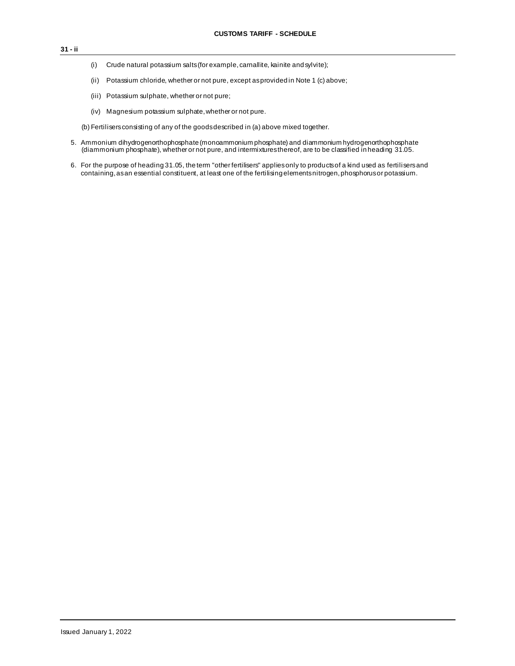- (i) Crude natural potassium salts (for example, carnallite, kainite and sylvite);
- (ii) Potassium chloride, whether or not pure, except as provided in Note 1 (c) above;
- (iii) Potassium sulphate, whether or not pure;
- (iv) Magnesium potassium sulphate, whether or not pure.

(b) Fertilisers consisting of any of the goods described in (a) above mixed together.

- 5. Ammonium dihydrogenorthophosphate (monoammonium phosphate) and diammonium hydrogenorthophosphate (diammonium phosphate), whether or not pure, and intermixtures thereof, are to be classified in heading 31.05.
- 6. For the purpose of heading 31.05, the term "other fertilisers" applies only to products of a kind used as fertilisers and containing, as an essential constituent, at least one of the fertilising elements nitrogen, phosphorus or potassium.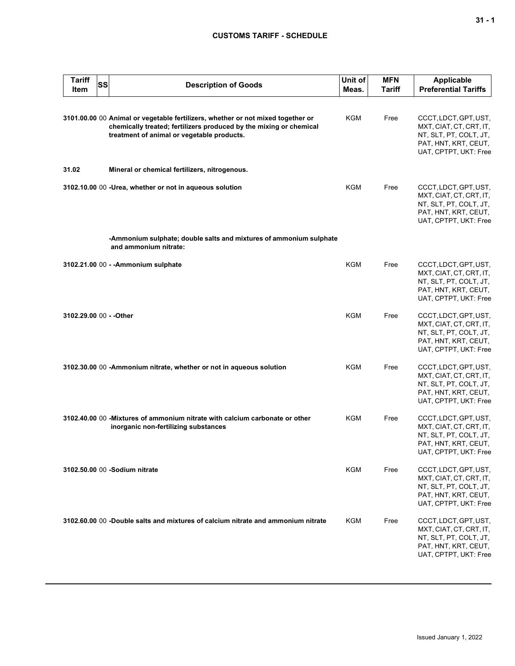## **CUSTOMS TARIFF - SCHEDULE**

| <b>Tariff</b><br><b>Item</b> | SS | <b>Description of Goods</b>                                                                                                                                                                         | Unit of<br>Meas. | <b>MFN</b><br><b>Tariff</b> | <b>Applicable</b><br><b>Preferential Tariffs</b>                                                                            |
|------------------------------|----|-----------------------------------------------------------------------------------------------------------------------------------------------------------------------------------------------------|------------------|-----------------------------|-----------------------------------------------------------------------------------------------------------------------------|
|                              |    | 3101.00.00 00 Animal or vegetable fertilizers, whether or not mixed together or<br>chemically treated; fertilizers produced by the mixing or chemical<br>treatment of animal or vegetable products. | KGM              | Free                        | CCCT, LDCT, GPT, UST,<br>MXT, CIAT, CT, CRT, IT,<br>NT, SLT, PT, COLT, JT,<br>PAT, HNT, KRT, CEUT,<br>UAT, CPTPT, UKT: Free |
| 31.02                        |    | Mineral or chemical fertilizers, nitrogenous.                                                                                                                                                       |                  |                             |                                                                                                                             |
|                              |    | 3102.10.00 00 -Urea, whether or not in aqueous solution                                                                                                                                             | KGM              | Free                        | CCCT, LDCT, GPT, UST,<br>MXT, CIAT, CT, CRT, IT,<br>NT, SLT, PT, COLT, JT,<br>PAT, HNT, KRT, CEUT,<br>UAT, CPTPT, UKT: Free |
|                              |    | -Ammonium sulphate; double salts and mixtures of ammonium sulphate<br>and ammonium nitrate:                                                                                                         |                  |                             |                                                                                                                             |
|                              |    | 3102.21.00 00 - - Ammonium sulphate                                                                                                                                                                 | <b>KGM</b>       | Free                        | CCCT, LDCT, GPT, UST,<br>MXT, CIAT, CT, CRT, IT,<br>NT, SLT, PT, COLT, JT,<br>PAT, HNT, KRT, CEUT,<br>UAT, CPTPT, UKT: Free |
| 3102.29.00 00 - - Other      |    |                                                                                                                                                                                                     | <b>KGM</b>       | Free                        | CCCT, LDCT, GPT, UST,<br>MXT, CIAT, CT, CRT, IT,<br>NT, SLT, PT, COLT, JT,<br>PAT, HNT, KRT, CEUT,<br>UAT, CPTPT, UKT: Free |
|                              |    | 3102.30.00 00 -Ammonium nitrate, whether or not in aqueous solution                                                                                                                                 | <b>KGM</b>       | Free                        | CCCT, LDCT, GPT, UST,<br>MXT, CIAT, CT, CRT, IT,<br>NT, SLT, PT, COLT, JT,<br>PAT, HNT, KRT, CEUT,<br>UAT, CPTPT, UKT: Free |
|                              |    | 3102.40.00 00 - Mixtures of ammonium nitrate with calcium carbonate or other<br>inorganic non-fertilizing substances                                                                                | <b>KGM</b>       | Free                        | CCCT, LDCT, GPT, UST,<br>MXT, CIAT, CT, CRT, IT,<br>NT, SLT, PT, COLT, JT,<br>PAT, HNT, KRT, CEUT,<br>UAT, CPTPT, UKT: Free |
|                              |    | 3102.50.00 00 -Sodium nitrate                                                                                                                                                                       | KGM              | Free                        | CCCT, LDCT, GPT, UST,<br>MXT, CIAT, CT, CRT, IT,<br>NT, SLT, PT, COLT, JT,<br>PAT, HNT, KRT, CEUT,<br>UAT, CPTPT, UKT: Free |
|                              |    | 3102,60,00 00 -Double salts and mixtures of calcium nitrate and ammonium nitrate                                                                                                                    | <b>KGM</b>       | Free                        | CCCT, LDCT, GPT, UST,<br>MXT, CIAT, CT, CRT, IT,<br>NT, SLT, PT, COLT, JT,<br>PAT, HNT, KRT, CEUT,<br>UAT, CPTPT, UKT: Free |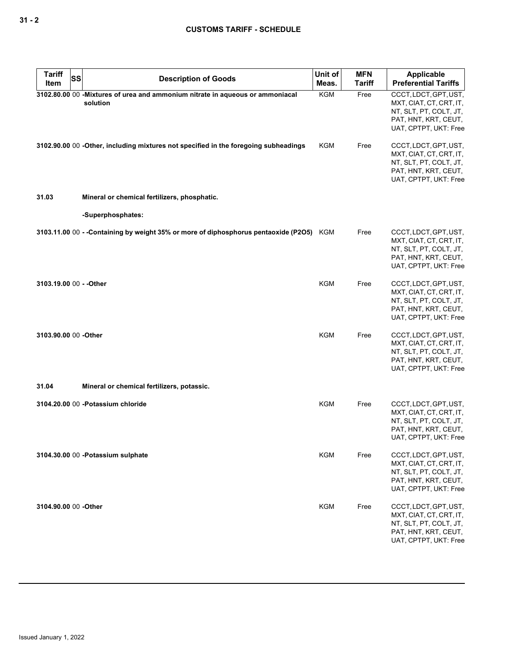| <b>Tariff</b><br>Item   | SS | <b>Description of Goods</b>                                                               | Unit of<br>Meas. | <b>MFN</b><br><b>Tariff</b> | <b>Applicable</b><br><b>Preferential Tariffs</b>                                                                            |
|-------------------------|----|-------------------------------------------------------------------------------------------|------------------|-----------------------------|-----------------------------------------------------------------------------------------------------------------------------|
|                         |    | 3102.80.00 00 -Mixtures of urea and ammonium nitrate in aqueous or ammoniacal<br>solution | KGM              | Free                        | CCCT, LDCT, GPT, UST,<br>MXT, CIAT, CT, CRT, IT,<br>NT, SLT, PT, COLT, JT,<br>PAT, HNT, KRT, CEUT,<br>UAT, CPTPT, UKT: Free |
|                         |    | 3102.90.00 00 -Other, including mixtures not specified in the foregoing subheadings       | KGM              | Free                        | CCCT, LDCT, GPT, UST,<br>MXT, CIAT, CT, CRT, IT,<br>NT, SLT, PT, COLT, JT,<br>PAT, HNT, KRT, CEUT,<br>UAT, CPTPT, UKT: Free |
| 31.03                   |    | Mineral or chemical fertilizers, phosphatic.                                              |                  |                             |                                                                                                                             |
|                         |    | -Superphosphates:                                                                         |                  |                             |                                                                                                                             |
|                         |    | 3103.11.00 00 - -Containing by weight 35% or more of diphosphorus pentaoxide (P2O5) KGM   |                  | Free                        | CCCT, LDCT, GPT, UST,<br>MXT, CIAT, CT, CRT, IT,<br>NT, SLT, PT, COLT, JT,<br>PAT, HNT, KRT, CEUT,<br>UAT, CPTPT, UKT: Free |
| 3103.19.00 00 - - Other |    |                                                                                           | KGM              | Free                        | CCCT, LDCT, GPT, UST,<br>MXT, CIAT, CT, CRT, IT,<br>NT, SLT, PT, COLT, JT,<br>PAT, HNT, KRT, CEUT,<br>UAT, CPTPT, UKT: Free |
| 3103.90.00 00 - Other   |    |                                                                                           | <b>KGM</b>       | Free                        | CCCT, LDCT, GPT, UST,<br>MXT, CIAT, CT, CRT, IT,<br>NT, SLT, PT, COLT, JT,<br>PAT, HNT, KRT, CEUT,<br>UAT, CPTPT, UKT: Free |
| 31.04                   |    | Mineral or chemical fertilizers, potassic.                                                |                  |                             |                                                                                                                             |
|                         |    | 3104.20.00 00 -Potassium chloride                                                         | <b>KGM</b>       | Free                        | CCCT, LDCT, GPT, UST,<br>MXT, CIAT, CT, CRT, IT,<br>NT, SLT, PT, COLT, JT,<br>PAT, HNT, KRT, CEUT,<br>UAT, CPTPT, UKT: Free |
|                         |    | 3104.30.00 00 - Potassium sulphate                                                        | KGM              | Free                        | CCCT, LDCT, GPT, UST,<br>MXT, CIAT, CT, CRT, IT,<br>NT, SLT, PT, COLT, JT,<br>PAT, HNT, KRT, CEUT,<br>UAT, CPTPT, UKT: Free |
| 3104.90.00 00 - Other   |    |                                                                                           | <b>KGM</b>       | Free                        | CCCT, LDCT, GPT, UST,<br>MXT, CIAT, CT, CRT, IT,<br>NT, SLT, PT, COLT, JT,<br>PAT, HNT, KRT, CEUT,<br>UAT, CPTPT, UKT: Free |